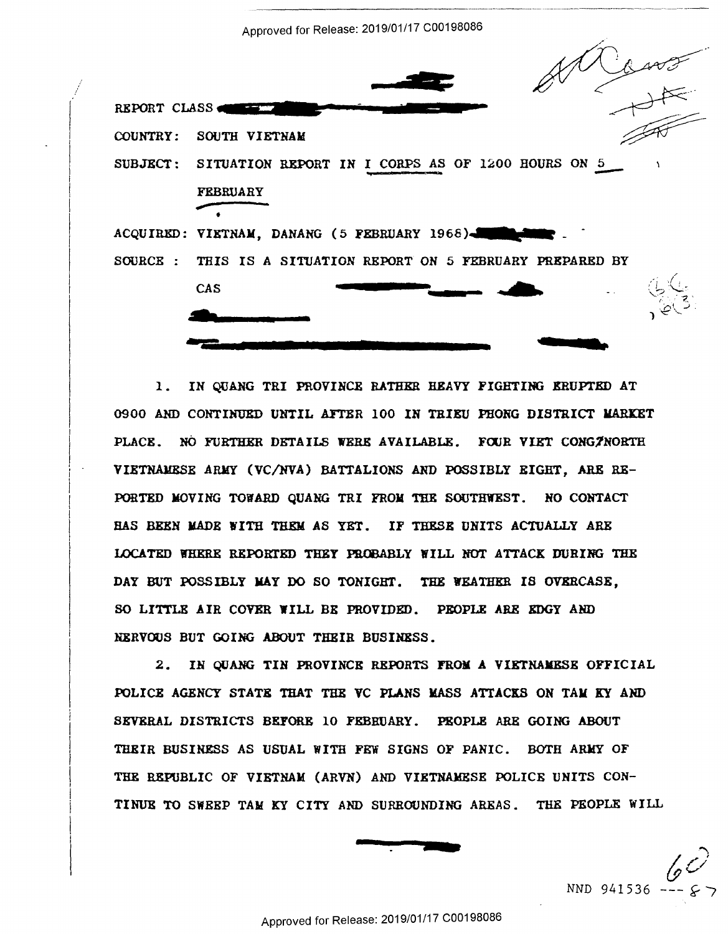Approved for Release: 2019/01/17 C00198086



 $\mathbf{1}$ . IN QUANG TRI PROVINCE RATHER HEAVY FIGHTING ERUPTED AT 0900 AND CONTINUED UNTIL AFTER 100 IN TRIEU PHONG DISTRICT MARKET PLACE. NO FURTHER DETAILS WERE AVAILABLE. FOUR VIET CONGINORTH VIETNAMESE ARMY (VC/NVA) BATTALIONS AND POSSIBLY EIGHT, ARE RE-PORTED MOVING TOWARD OUANG TRI FROM THE SOUTHWEST. NO CONTACT HAS BEEN MADE WITH THEM AS YET. IF THESE UNITS ACTUALLY ARE LOCATED WHERE REPORTED THEY PROBABLY WILL NOT ATTACK DURING THE DAY BUT POSSIBLY MAY DO SO TONIGHT. THE WEATHER IS OVERCASE. SO LITTLE AIR COVER WILL BE PROVIDED. PEOPLE ARE EDGY AND NERVOUS BUT GOING ABOUT THEIR BUSINESS.

 $2.$ IN OUANG TIN PROVINCE REPORTS FROM A VIETNAMESE OFFICIAL POLICE AGENCY STATE THAT THE VC PLANS MASS ATTACKS ON TAM KY AND SEVERAL DISTRICTS BEFORE 10 FEBRUARY. PEOPLE ARE GOING ABOUT THEIR BUSINESS AS USUAL WITH FEW SIGNS OF PANIC. BOTH ARMY OF THE REPUBLIC OF VIETNAM (ARVN) AND VIETNAMESE POLICE UNITS CON-TINUE TO SWEEP TAM KY CITY AND SURROUNDING AREAS. THE PEOPLE WILL



NND 941536 --